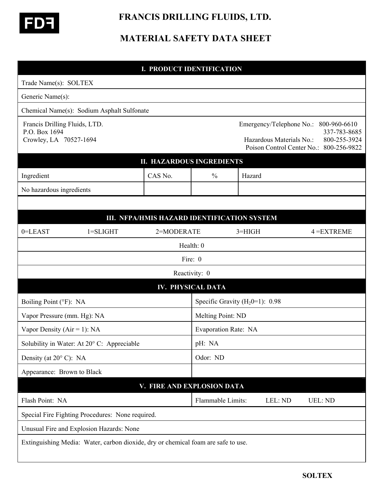

## **FRANCIS DRILLING FLUIDS, LTD.**

## **MATERIAL SAFETY DATA SHEET**

| <b>I. PRODUCT IDENTIFICATION</b>                                         |                                                                                   |                                             |               |                                   |                                                      |                                                                                         |  |  |
|--------------------------------------------------------------------------|-----------------------------------------------------------------------------------|---------------------------------------------|---------------|-----------------------------------|------------------------------------------------------|-----------------------------------------------------------------------------------------|--|--|
| Trade Name(s): SOLTEX                                                    |                                                                                   |                                             |               |                                   |                                                      |                                                                                         |  |  |
| Generic Name(s):                                                         |                                                                                   |                                             |               |                                   |                                                      |                                                                                         |  |  |
|                                                                          | Chemical Name(s): Sodium Asphalt Sulfonate                                        |                                             |               |                                   |                                                      |                                                                                         |  |  |
| Francis Drilling Fluids, LTD.<br>P.O. Box 1694<br>Crowley, LA 70527-1694 |                                                                                   |                                             |               |                                   | Emergency/Telephone No.:<br>Hazardous Materials No.: | 800-960-6610<br>337-783-8685<br>800-255-3924<br>Poison Control Center No.: 800-256-9822 |  |  |
|                                                                          | <b>II. HAZARDOUS INGREDIENTS</b>                                                  |                                             |               |                                   |                                                      |                                                                                         |  |  |
| Ingredient                                                               |                                                                                   | CAS No.                                     | $\frac{0}{0}$ | Hazard                            |                                                      |                                                                                         |  |  |
| No hazardous ingredients                                                 |                                                                                   |                                             |               |                                   |                                                      |                                                                                         |  |  |
|                                                                          |                                                                                   |                                             |               |                                   |                                                      |                                                                                         |  |  |
|                                                                          |                                                                                   | III. NFPA/HMIS HAZARD IDENTIFICATION SYSTEM |               |                                   |                                                      |                                                                                         |  |  |
| 0=LEAST                                                                  | $1 = SLIGHT$                                                                      | 2=MODERATE                                  |               | $3 = HIGH$                        |                                                      | $4 = EXTREME$                                                                           |  |  |
|                                                                          |                                                                                   |                                             | Health: 0     |                                   |                                                      |                                                                                         |  |  |
|                                                                          | Fire: 0                                                                           |                                             |               |                                   |                                                      |                                                                                         |  |  |
|                                                                          |                                                                                   |                                             | Reactivity: 0 |                                   |                                                      |                                                                                         |  |  |
| <b>IV. PHYSICAL DATA</b>                                                 |                                                                                   |                                             |               |                                   |                                                      |                                                                                         |  |  |
| Boiling Point (°F): NA                                                   |                                                                                   |                                             |               | Specific Gravity $(H20=1)$ : 0.98 |                                                      |                                                                                         |  |  |
| Vapor Pressure (mm. Hg): NA                                              |                                                                                   |                                             |               | Melting Point: ND                 |                                                      |                                                                                         |  |  |
| Vapor Density ( $Air = 1$ ): NA                                          |                                                                                   |                                             |               | Evaporation Rate: NA              |                                                      |                                                                                         |  |  |
|                                                                          | Solubility in Water: At 20° C: Appreciable                                        |                                             | pH: NA        |                                   |                                                      |                                                                                         |  |  |
| Density (at $20^{\circ}$ C): NA                                          |                                                                                   |                                             |               | Odor: ND                          |                                                      |                                                                                         |  |  |
|                                                                          | Appearance: Brown to Black                                                        |                                             |               |                                   |                                                      |                                                                                         |  |  |
|                                                                          |                                                                                   | V. FIRE AND EXPLOSION DATA                  |               |                                   |                                                      |                                                                                         |  |  |
| Flash Point: NA                                                          |                                                                                   |                                             |               | Flammable Limits:                 | LEL: ND                                              | UEL: ND                                                                                 |  |  |
|                                                                          | Special Fire Fighting Procedures: None required.                                  |                                             |               |                                   |                                                      |                                                                                         |  |  |
|                                                                          | Unusual Fire and Explosion Hazards: None                                          |                                             |               |                                   |                                                      |                                                                                         |  |  |
|                                                                          | Extinguishing Media: Water, carbon dioxide, dry or chemical foam are safe to use. |                                             |               |                                   |                                                      |                                                                                         |  |  |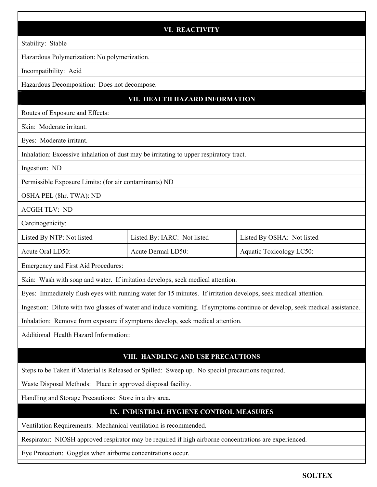|                                                                                                                            | <b>VI. REACTIVITY</b>       |                            |  |  |  |  |
|----------------------------------------------------------------------------------------------------------------------------|-----------------------------|----------------------------|--|--|--|--|
| Stability: Stable                                                                                                          |                             |                            |  |  |  |  |
| Hazardous Polymerization: No polymerization.                                                                               |                             |                            |  |  |  |  |
| Incompatibility: Acid                                                                                                      |                             |                            |  |  |  |  |
| Hazardous Decomposition: Does not decompose.                                                                               |                             |                            |  |  |  |  |
| VII. HEALTH HAZARD INFORMATION                                                                                             |                             |                            |  |  |  |  |
| Routes of Exposure and Effects:                                                                                            |                             |                            |  |  |  |  |
| Skin: Moderate irritant.                                                                                                   |                             |                            |  |  |  |  |
| Eyes: Moderate irritant.                                                                                                   |                             |                            |  |  |  |  |
| Inhalation: Excessive inhalation of dust may be irritating to upper respiratory tract.                                     |                             |                            |  |  |  |  |
| Ingestion: ND                                                                                                              |                             |                            |  |  |  |  |
| Permissible Exposure Limits: (for air contaminants) ND                                                                     |                             |                            |  |  |  |  |
| OSHA PEL (8hr. TWA): ND                                                                                                    |                             |                            |  |  |  |  |
| <b>ACGIH TLV: ND</b>                                                                                                       |                             |                            |  |  |  |  |
| Carcinogenicity:                                                                                                           |                             |                            |  |  |  |  |
| Listed By NTP: Not listed                                                                                                  | Listed By: IARC: Not listed | Listed By OSHA: Not listed |  |  |  |  |
| Acute Oral LD50:                                                                                                           | Acute Dermal LD50:          | Aquatic Toxicology LC50:   |  |  |  |  |
| Emergency and First Aid Procedures:                                                                                        |                             |                            |  |  |  |  |
| Skin: Wash with soap and water. If irritation develops, seek medical attention.                                            |                             |                            |  |  |  |  |
| Eyes: Immediately flush eyes with running water for 15 minutes. If irritation develops, seek medical attention.            |                             |                            |  |  |  |  |
| Ingestion: Dilute with two glasses of water and induce vomiting. If symptoms continue or develop, seek medical assistance. |                             |                            |  |  |  |  |
| Inhalation: Remove from exposure if symptoms develop, seek medical attention.                                              |                             |                            |  |  |  |  |
| Additional Health Hazard Information::                                                                                     |                             |                            |  |  |  |  |
| VIII. HANDLING AND USE PRECAUTIONS                                                                                         |                             |                            |  |  |  |  |
| Steps to be Taken if Material is Released or Spilled: Sweep up. No special precautions required.                           |                             |                            |  |  |  |  |
| Waste Disposal Methods: Place in approved disposal facility.                                                               |                             |                            |  |  |  |  |
| Handling and Storage Precautions: Store in a dry area.                                                                     |                             |                            |  |  |  |  |
| IX. INDUSTRIAL HYGIENE CONTROL MEASURES                                                                                    |                             |                            |  |  |  |  |
| Ventilation Requirements: Mechanical ventilation is recommended.                                                           |                             |                            |  |  |  |  |
| Respirator: NIOSH approved respirator may be required if high airborne concentrations are experienced.                     |                             |                            |  |  |  |  |
| Eye Protection: Goggles when airborne concentrations occur.                                                                |                             |                            |  |  |  |  |